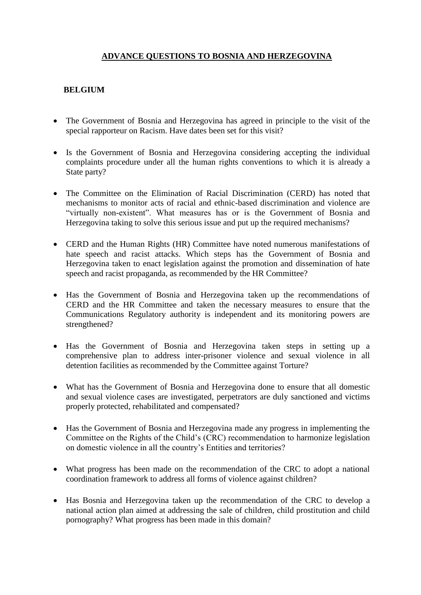## **ADVANCE QUESTIONS TO BOSNIA AND HERZEGOVINA**

## **BELGIUM**

- The Government of Bosnia and Herzegovina has agreed in principle to the visit of the special rapporteur on Racism. Have dates been set for this visit?
- Is the Government of Bosnia and Herzegovina considering accepting the individual complaints procedure under all the human rights conventions to which it is already a State party?
- The Committee on the Elimination of Racial Discrimination (CERD) has noted that mechanisms to monitor acts of racial and ethnic-based discrimination and violence are "virtually non-existent". What measures has or is the Government of Bosnia and Herzegovina taking to solve this serious issue and put up the required mechanisms?
- CERD and the Human Rights (HR) Committee have noted numerous manifestations of hate speech and racist attacks. Which steps has the Government of Bosnia and Herzegovina taken to enact legislation against the promotion and dissemination of hate speech and racist propaganda, as recommended by the HR Committee?
- Has the Government of Bosnia and Herzegovina taken up the recommendations of CERD and the HR Committee and taken the necessary measures to ensure that the Communications Regulatory authority is independent and its monitoring powers are strengthened?
- Has the Government of Bosnia and Herzegovina taken steps in setting up a comprehensive plan to address inter-prisoner violence and sexual violence in all detention facilities as recommended by the Committee against Torture?
- What has the Government of Bosnia and Herzegovina done to ensure that all domestic and sexual violence cases are investigated, perpetrators are duly sanctioned and victims properly protected, rehabilitated and compensated?
- Has the Government of Bosnia and Herzegovina made any progress in implementing the Committee on the Rights of the Child's (CRC) recommendation to harmonize legislation on domestic violence in all the country's Entities and territories?
- What progress has been made on the recommendation of the CRC to adopt a national coordination framework to address all forms of violence against children?
- Has Bosnia and Herzegovina taken up the recommendation of the CRC to develop a national action plan aimed at addressing the sale of children, child prostitution and child pornography? What progress has been made in this domain?